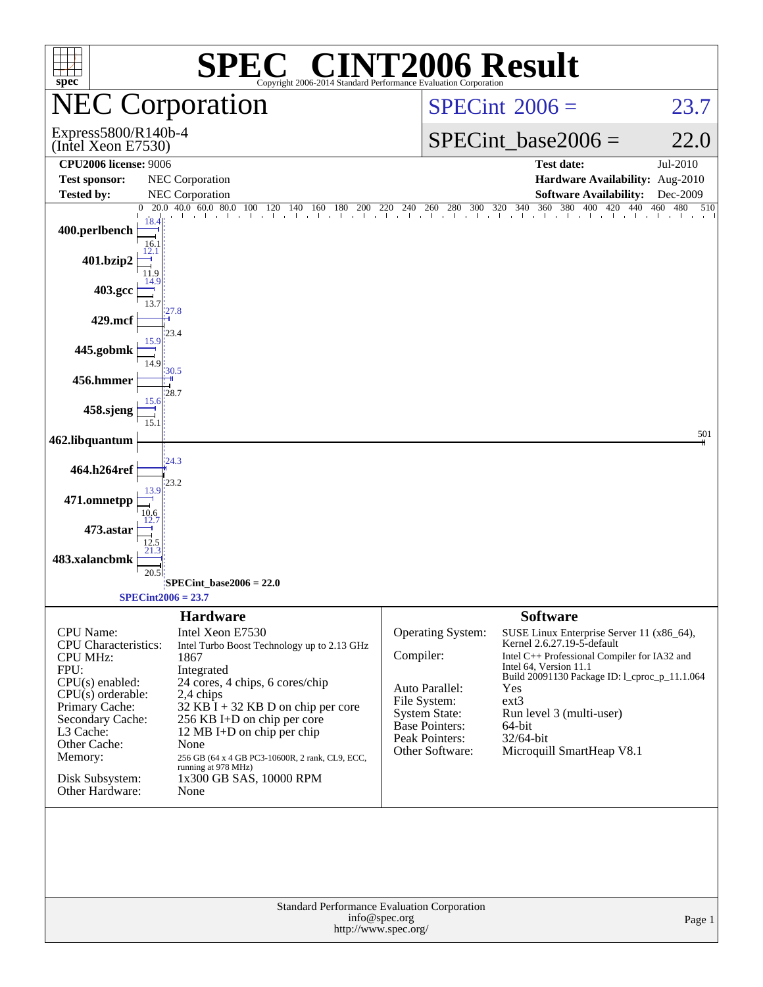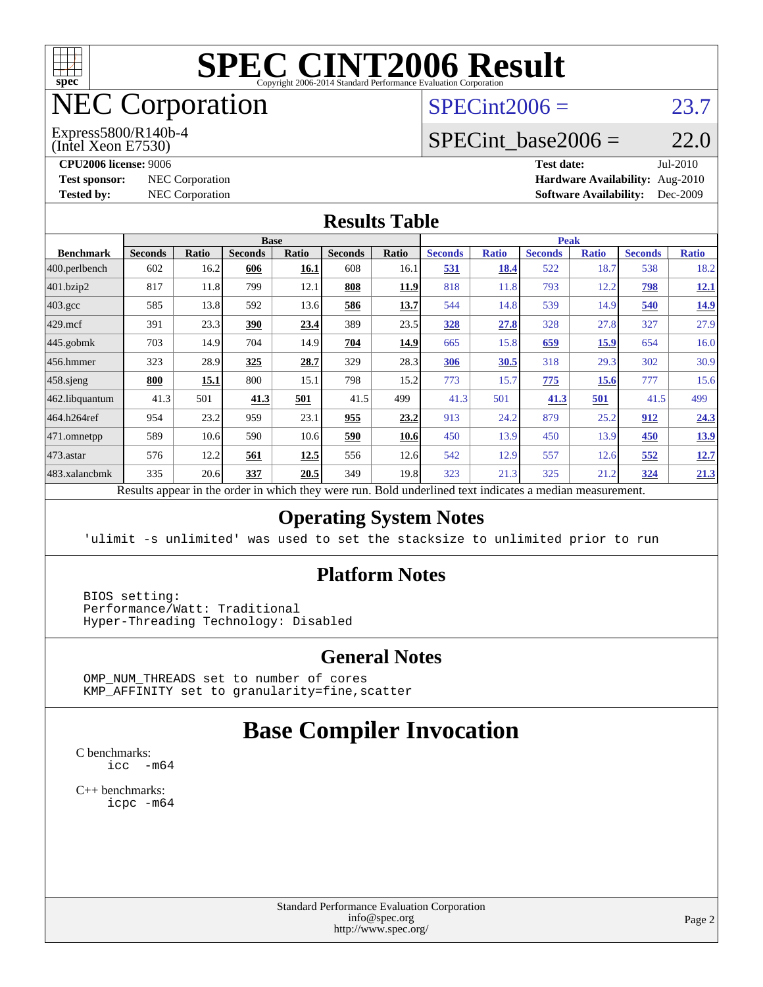

# NEC Corporation

#### (Intel Xeon E7530) Express5800/R140b-4

 $SPECint2006 = 23.7$  $SPECint2006 = 23.7$ 

# SPECint base2006 =  $22.0$

**[CPU2006 license:](http://www.spec.org/auto/cpu2006/Docs/result-fields.html#CPU2006license)** 9006 **[Test date:](http://www.spec.org/auto/cpu2006/Docs/result-fields.html#Testdate)** Jul-2010 **[Test sponsor:](http://www.spec.org/auto/cpu2006/Docs/result-fields.html#Testsponsor)** NEC Corporation **[Hardware Availability:](http://www.spec.org/auto/cpu2006/Docs/result-fields.html#HardwareAvailability)** Aug-2010 **[Tested by:](http://www.spec.org/auto/cpu2006/Docs/result-fields.html#Testedby)** NEC Corporation **[Software Availability:](http://www.spec.org/auto/cpu2006/Docs/result-fields.html#SoftwareAvailability)** Dec-2009

#### **[Results Table](http://www.spec.org/auto/cpu2006/Docs/result-fields.html#ResultsTable)**

|                    | <b>Base</b>                 |         |                |                          |                |              |                                             | <b>Peak</b>  |                |              |                |              |  |
|--------------------|-----------------------------|---------|----------------|--------------------------|----------------|--------------|---------------------------------------------|--------------|----------------|--------------|----------------|--------------|--|
| <b>Benchmark</b>   | <b>Seconds</b>              | Ratio   | <b>Seconds</b> | <b>Ratio</b>             | <b>Seconds</b> | <b>Ratio</b> | <b>Seconds</b>                              | <b>Ratio</b> | <b>Seconds</b> | <b>Ratio</b> | <b>Seconds</b> | <b>Ratio</b> |  |
| 400.perlbench      | 602                         | 16.2    | 606            | 16.1                     | 608            | 16.1         | 531                                         | 18.4         | 522            | 18.7         | 538            | 18.2         |  |
| 401.bzip2          | 817                         | 11.8    | 799            | 12.1                     | 808            | 11.9         | 818                                         | 11.8         | 793            | 12.2         | 798            | <u>12.1</u>  |  |
| $403.\mathrm{gcc}$ | 585                         | 13.8    | 592            | 13.6                     | 586            | <u>13.7</u>  | 544                                         | 14.8         | 539            | 14.9         | 540            | <u>14.9</u>  |  |
| $429$ .mcf         | 391                         | 23.3    | 390            | 23.4                     | 389            | 23.5         | <b>328</b>                                  | 27.8         | 328            | 27.8         | 327            | 27.9         |  |
| $445$ .gobmk       | 703                         | 14.9    | 704            | 14.9                     | 704            | 14.9         | 665                                         | 15.8         | 659            | 15.9         | 654            | 16.0         |  |
| 456.hmmer          | 323                         | 28.9    | 325            | 28.7                     | 329            | 28.3         | 306                                         | 30.5         | 318            | 29.3         | 302            | 30.9         |  |
| $458$ .sjeng       | 800                         | 15.1    | 800            | 15.1                     | 798            | 15.2         | 773                                         | 15.7         | 775            | 15.6         | 777            | 15.6         |  |
| 462.libquantum     | 41.3                        | 501     | 41.3           | 501                      | 41.5           | 499          | 41.3                                        | 501          | 41.3           | 501          | 41.5           | 499          |  |
| 464.h264ref        | 954                         | 23.2    | 959            | 23.1                     | 955            | 23.2         | 913                                         | 24.2         | 879            | 25.2         | 912            | 24.3         |  |
| 471.omnetpp        | 589                         | 10.6    | 590            | 10.6                     | 590            | 10.6         | 450                                         | 13.9         | 450            | 13.9         | 450            | <u>13.9</u>  |  |
| 473.astar          | 576                         | 12.2    | 561            | 12.5                     | 556            | 12.6         | 542                                         | 12.9         | 557            | 12.6         | 552            | <u>12.7</u>  |  |
|                    | 335                         | 20.6    | 337            | 20.5                     | 349            | 19.8         | 323                                         | 21.3         | 325            | 21.2         | <u>324</u>     | 21.3         |  |
| 483.xalancbmk      | $\mathbf{D}$ . $\mathbf{L}$ | tur 11. |                | 1.3.1.<br>$\overline{1}$ |                |              | $D$ and $L$ and $L$ and $L$ and $L$ and $L$ |              |                |              |                |              |  |

Results appear in the [order in which they were run.](http://www.spec.org/auto/cpu2006/Docs/result-fields.html#RunOrder) Bold underlined text [indicates a median measurement.](http://www.spec.org/auto/cpu2006/Docs/result-fields.html#Median)

#### **[Operating System Notes](http://www.spec.org/auto/cpu2006/Docs/result-fields.html#OperatingSystemNotes)**

'ulimit -s unlimited' was used to set the stacksize to unlimited prior to run

#### **[Platform Notes](http://www.spec.org/auto/cpu2006/Docs/result-fields.html#PlatformNotes)**

 BIOS setting: Performance/Watt: Traditional Hyper-Threading Technology: Disabled

#### **[General Notes](http://www.spec.org/auto/cpu2006/Docs/result-fields.html#GeneralNotes)**

 OMP\_NUM\_THREADS set to number of cores KMP\_AFFINITY set to granularity=fine,scatter

# **[Base Compiler Invocation](http://www.spec.org/auto/cpu2006/Docs/result-fields.html#BaseCompilerInvocation)**

[C benchmarks](http://www.spec.org/auto/cpu2006/Docs/result-fields.html#Cbenchmarks): [icc -m64](http://www.spec.org/cpu2006/results/res2010q3/cpu2006-20100729-12705.flags.html#user_CCbase_intel_icc_64bit_f346026e86af2a669e726fe758c88044)

[C++ benchmarks:](http://www.spec.org/auto/cpu2006/Docs/result-fields.html#CXXbenchmarks) [icpc -m64](http://www.spec.org/cpu2006/results/res2010q3/cpu2006-20100729-12705.flags.html#user_CXXbase_intel_icpc_64bit_fc66a5337ce925472a5c54ad6a0de310)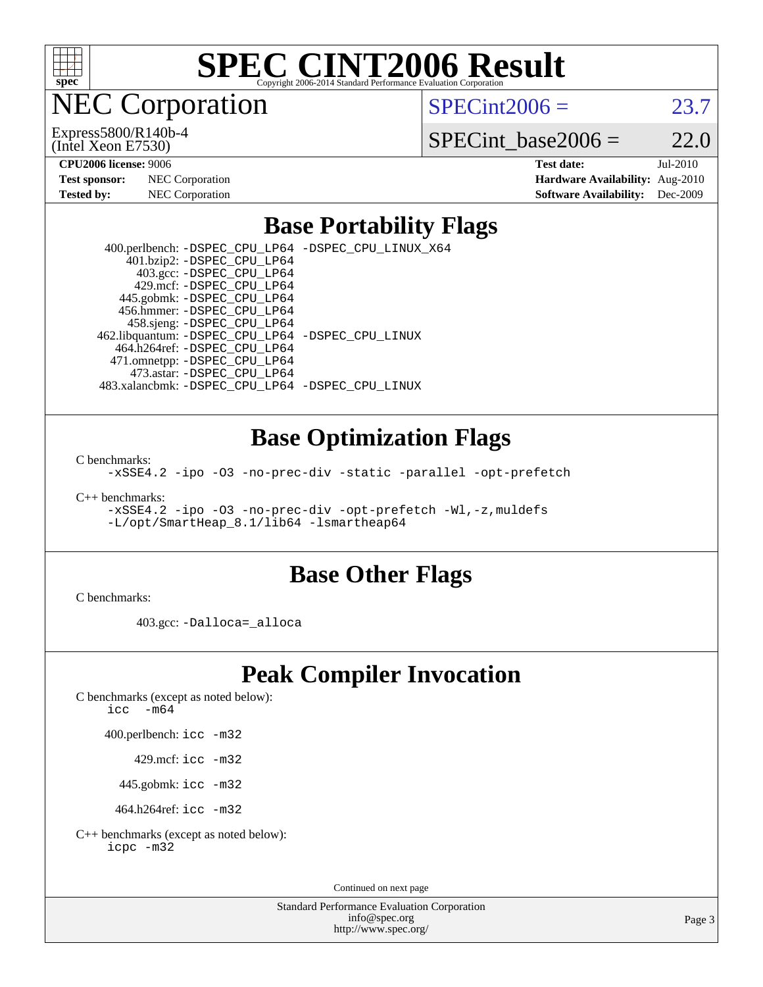

NEC Corporation

(Intel Xeon E7530) Express5800/R140b-4  $SPECint2006 = 23.7$  $SPECint2006 = 23.7$ 

SPECint base2006 =  $22.0$ 

| <b>Test sponsor:</b> | <b>NEC</b> Corporation |
|----------------------|------------------------|
| Tested by:           | NEC Corporation        |

**[CPU2006 license:](http://www.spec.org/auto/cpu2006/Docs/result-fields.html#CPU2006license)** 9006 **[Test date:](http://www.spec.org/auto/cpu2006/Docs/result-fields.html#Testdate)** Jul-2010 **[Hardware Availability:](http://www.spec.org/auto/cpu2006/Docs/result-fields.html#HardwareAvailability)** Aug-2010 **[Software Availability:](http://www.spec.org/auto/cpu2006/Docs/result-fields.html#SoftwareAvailability)** Dec-2009

### **[Base Portability Flags](http://www.spec.org/auto/cpu2006/Docs/result-fields.html#BasePortabilityFlags)**

 400.perlbench: [-DSPEC\\_CPU\\_LP64](http://www.spec.org/cpu2006/results/res2010q3/cpu2006-20100729-12705.flags.html#b400.perlbench_basePORTABILITY_DSPEC_CPU_LP64) [-DSPEC\\_CPU\\_LINUX\\_X64](http://www.spec.org/cpu2006/results/res2010q3/cpu2006-20100729-12705.flags.html#b400.perlbench_baseCPORTABILITY_DSPEC_CPU_LINUX_X64) 401.bzip2: [-DSPEC\\_CPU\\_LP64](http://www.spec.org/cpu2006/results/res2010q3/cpu2006-20100729-12705.flags.html#suite_basePORTABILITY401_bzip2_DSPEC_CPU_LP64) 403.gcc: [-DSPEC\\_CPU\\_LP64](http://www.spec.org/cpu2006/results/res2010q3/cpu2006-20100729-12705.flags.html#suite_basePORTABILITY403_gcc_DSPEC_CPU_LP64) 429.mcf: [-DSPEC\\_CPU\\_LP64](http://www.spec.org/cpu2006/results/res2010q3/cpu2006-20100729-12705.flags.html#suite_basePORTABILITY429_mcf_DSPEC_CPU_LP64) 445.gobmk: [-DSPEC\\_CPU\\_LP64](http://www.spec.org/cpu2006/results/res2010q3/cpu2006-20100729-12705.flags.html#suite_basePORTABILITY445_gobmk_DSPEC_CPU_LP64) 456.hmmer: [-DSPEC\\_CPU\\_LP64](http://www.spec.org/cpu2006/results/res2010q3/cpu2006-20100729-12705.flags.html#suite_basePORTABILITY456_hmmer_DSPEC_CPU_LP64) 458.sjeng: [-DSPEC\\_CPU\\_LP64](http://www.spec.org/cpu2006/results/res2010q3/cpu2006-20100729-12705.flags.html#suite_basePORTABILITY458_sjeng_DSPEC_CPU_LP64) 462.libquantum: [-DSPEC\\_CPU\\_LP64](http://www.spec.org/cpu2006/results/res2010q3/cpu2006-20100729-12705.flags.html#suite_basePORTABILITY462_libquantum_DSPEC_CPU_LP64) [-DSPEC\\_CPU\\_LINUX](http://www.spec.org/cpu2006/results/res2010q3/cpu2006-20100729-12705.flags.html#b462.libquantum_baseCPORTABILITY_DSPEC_CPU_LINUX) 464.h264ref: [-DSPEC\\_CPU\\_LP64](http://www.spec.org/cpu2006/results/res2010q3/cpu2006-20100729-12705.flags.html#suite_basePORTABILITY464_h264ref_DSPEC_CPU_LP64) 471.omnetpp: [-DSPEC\\_CPU\\_LP64](http://www.spec.org/cpu2006/results/res2010q3/cpu2006-20100729-12705.flags.html#suite_basePORTABILITY471_omnetpp_DSPEC_CPU_LP64) 473.astar: [-DSPEC\\_CPU\\_LP64](http://www.spec.org/cpu2006/results/res2010q3/cpu2006-20100729-12705.flags.html#suite_basePORTABILITY473_astar_DSPEC_CPU_LP64) 483.xalancbmk: [-DSPEC\\_CPU\\_LP64](http://www.spec.org/cpu2006/results/res2010q3/cpu2006-20100729-12705.flags.html#suite_basePORTABILITY483_xalancbmk_DSPEC_CPU_LP64) [-DSPEC\\_CPU\\_LINUX](http://www.spec.org/cpu2006/results/res2010q3/cpu2006-20100729-12705.flags.html#b483.xalancbmk_baseCXXPORTABILITY_DSPEC_CPU_LINUX)

### **[Base Optimization Flags](http://www.spec.org/auto/cpu2006/Docs/result-fields.html#BaseOptimizationFlags)**

[C benchmarks](http://www.spec.org/auto/cpu2006/Docs/result-fields.html#Cbenchmarks):

[-xSSE4.2](http://www.spec.org/cpu2006/results/res2010q3/cpu2006-20100729-12705.flags.html#user_CCbase_f-xSSE42_f91528193cf0b216347adb8b939d4107) [-ipo](http://www.spec.org/cpu2006/results/res2010q3/cpu2006-20100729-12705.flags.html#user_CCbase_f-ipo) [-O3](http://www.spec.org/cpu2006/results/res2010q3/cpu2006-20100729-12705.flags.html#user_CCbase_f-O3) [-no-prec-div](http://www.spec.org/cpu2006/results/res2010q3/cpu2006-20100729-12705.flags.html#user_CCbase_f-no-prec-div) [-static](http://www.spec.org/cpu2006/results/res2010q3/cpu2006-20100729-12705.flags.html#user_CCbase_f-static) [-parallel](http://www.spec.org/cpu2006/results/res2010q3/cpu2006-20100729-12705.flags.html#user_CCbase_f-parallel) [-opt-prefetch](http://www.spec.org/cpu2006/results/res2010q3/cpu2006-20100729-12705.flags.html#user_CCbase_f-opt-prefetch)

[C++ benchmarks:](http://www.spec.org/auto/cpu2006/Docs/result-fields.html#CXXbenchmarks)

[-xSSE4.2](http://www.spec.org/cpu2006/results/res2010q3/cpu2006-20100729-12705.flags.html#user_CXXbase_f-xSSE42_f91528193cf0b216347adb8b939d4107) [-ipo](http://www.spec.org/cpu2006/results/res2010q3/cpu2006-20100729-12705.flags.html#user_CXXbase_f-ipo) [-O3](http://www.spec.org/cpu2006/results/res2010q3/cpu2006-20100729-12705.flags.html#user_CXXbase_f-O3) [-no-prec-div](http://www.spec.org/cpu2006/results/res2010q3/cpu2006-20100729-12705.flags.html#user_CXXbase_f-no-prec-div) [-opt-prefetch](http://www.spec.org/cpu2006/results/res2010q3/cpu2006-20100729-12705.flags.html#user_CXXbase_f-opt-prefetch) [-Wl,-z,muldefs](http://www.spec.org/cpu2006/results/res2010q3/cpu2006-20100729-12705.flags.html#user_CXXbase_link_force_multiple1_74079c344b956b9658436fd1b6dd3a8a) [-L/opt/SmartHeap\\_8.1/lib64 -lsmartheap64](http://www.spec.org/cpu2006/results/res2010q3/cpu2006-20100729-12705.flags.html#user_CXXbase_SmartHeap64_7ff9c3d8ca51c2767359d6aa2f519d77)

### **[Base Other Flags](http://www.spec.org/auto/cpu2006/Docs/result-fields.html#BaseOtherFlags)**

[C benchmarks](http://www.spec.org/auto/cpu2006/Docs/result-fields.html#Cbenchmarks):

403.gcc: [-Dalloca=\\_alloca](http://www.spec.org/cpu2006/results/res2010q3/cpu2006-20100729-12705.flags.html#b403.gcc_baseEXTRA_CFLAGS_Dalloca_be3056838c12de2578596ca5467af7f3)

# **[Peak Compiler Invocation](http://www.spec.org/auto/cpu2006/Docs/result-fields.html#PeakCompilerInvocation)**

[C benchmarks \(except as noted below\)](http://www.spec.org/auto/cpu2006/Docs/result-fields.html#Cbenchmarksexceptasnotedbelow):

[icc -m64](http://www.spec.org/cpu2006/results/res2010q3/cpu2006-20100729-12705.flags.html#user_CCpeak_intel_icc_64bit_f346026e86af2a669e726fe758c88044)

400.perlbench: [icc -m32](http://www.spec.org/cpu2006/results/res2010q3/cpu2006-20100729-12705.flags.html#user_peakCCLD400_perlbench_intel_icc_32bit_a6a621f8d50482236b970c6ac5f55f93)

429.mcf: [icc -m32](http://www.spec.org/cpu2006/results/res2010q3/cpu2006-20100729-12705.flags.html#user_peakCCLD429_mcf_intel_icc_32bit_a6a621f8d50482236b970c6ac5f55f93)

445.gobmk: [icc -m32](http://www.spec.org/cpu2006/results/res2010q3/cpu2006-20100729-12705.flags.html#user_peakCCLD445_gobmk_intel_icc_32bit_a6a621f8d50482236b970c6ac5f55f93)

464.h264ref: [icc -m32](http://www.spec.org/cpu2006/results/res2010q3/cpu2006-20100729-12705.flags.html#user_peakCCLD464_h264ref_intel_icc_32bit_a6a621f8d50482236b970c6ac5f55f93)

[C++ benchmarks \(except as noted below\):](http://www.spec.org/auto/cpu2006/Docs/result-fields.html#CXXbenchmarksexceptasnotedbelow) [icpc -m32](http://www.spec.org/cpu2006/results/res2010q3/cpu2006-20100729-12705.flags.html#user_CXXpeak_intel_icpc_32bit_4e5a5ef1a53fd332b3c49e69c3330699)

Continued on next page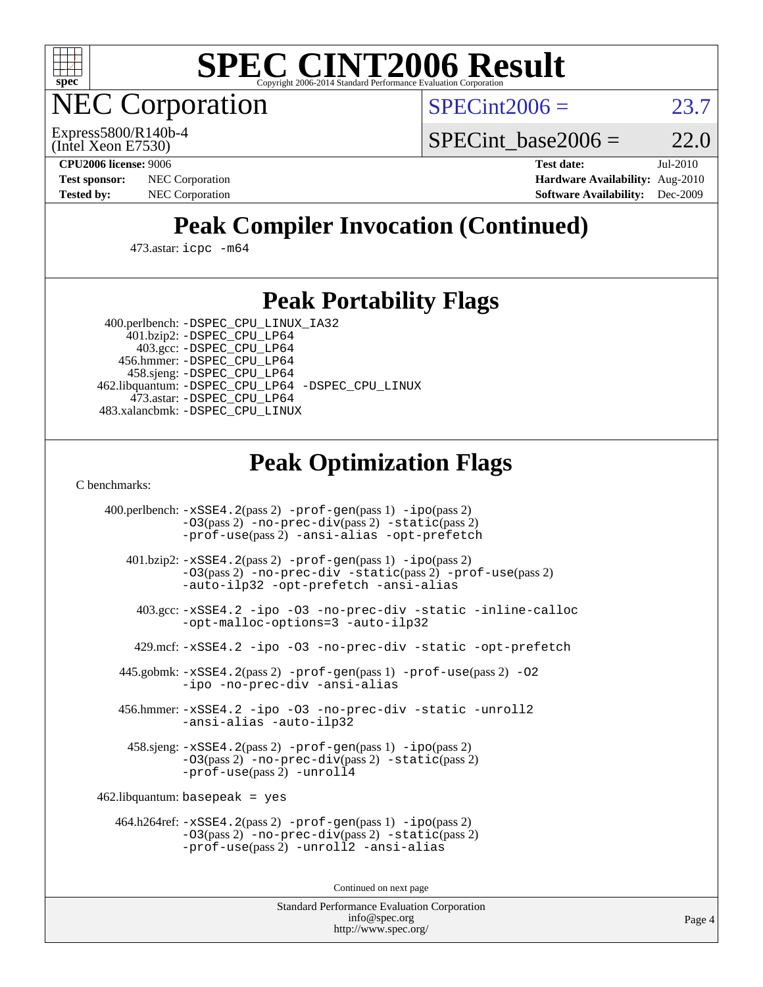

**EC Corporation** 

 $SPECint2006 = 23.7$  $SPECint2006 = 23.7$ 

(Intel Xeon E7530) Express5800/R140b-4 SPECint base2006 =  $22.0$ 

**[CPU2006 license:](http://www.spec.org/auto/cpu2006/Docs/result-fields.html#CPU2006license)** 9006 **[Test date:](http://www.spec.org/auto/cpu2006/Docs/result-fields.html#Testdate)** Jul-2010 **[Test sponsor:](http://www.spec.org/auto/cpu2006/Docs/result-fields.html#Testsponsor)** NEC Corporation **[Hardware Availability:](http://www.spec.org/auto/cpu2006/Docs/result-fields.html#HardwareAvailability)** Aug-2010 **[Tested by:](http://www.spec.org/auto/cpu2006/Docs/result-fields.html#Testedby)** NEC Corporation **[Software Availability:](http://www.spec.org/auto/cpu2006/Docs/result-fields.html#SoftwareAvailability)** Dec-2009

# **[Peak Compiler Invocation \(Continued\)](http://www.spec.org/auto/cpu2006/Docs/result-fields.html#PeakCompilerInvocation)**

473.astar: [icpc -m64](http://www.spec.org/cpu2006/results/res2010q3/cpu2006-20100729-12705.flags.html#user_peakCXXLD473_astar_intel_icpc_64bit_fc66a5337ce925472a5c54ad6a0de310)

### **[Peak Portability Flags](http://www.spec.org/auto/cpu2006/Docs/result-fields.html#PeakPortabilityFlags)**

 400.perlbench: [-DSPEC\\_CPU\\_LINUX\\_IA32](http://www.spec.org/cpu2006/results/res2010q3/cpu2006-20100729-12705.flags.html#b400.perlbench_peakCPORTABILITY_DSPEC_CPU_LINUX_IA32) 401.bzip2: [-DSPEC\\_CPU\\_LP64](http://www.spec.org/cpu2006/results/res2010q3/cpu2006-20100729-12705.flags.html#suite_peakPORTABILITY401_bzip2_DSPEC_CPU_LP64)

 403.gcc: [-DSPEC\\_CPU\\_LP64](http://www.spec.org/cpu2006/results/res2010q3/cpu2006-20100729-12705.flags.html#suite_peakPORTABILITY403_gcc_DSPEC_CPU_LP64) 456.hmmer: [-DSPEC\\_CPU\\_LP64](http://www.spec.org/cpu2006/results/res2010q3/cpu2006-20100729-12705.flags.html#suite_peakPORTABILITY456_hmmer_DSPEC_CPU_LP64) 458.sjeng: [-DSPEC\\_CPU\\_LP64](http://www.spec.org/cpu2006/results/res2010q3/cpu2006-20100729-12705.flags.html#suite_peakPORTABILITY458_sjeng_DSPEC_CPU_LP64) 462.libquantum: [-DSPEC\\_CPU\\_LP64](http://www.spec.org/cpu2006/results/res2010q3/cpu2006-20100729-12705.flags.html#suite_peakPORTABILITY462_libquantum_DSPEC_CPU_LP64) [-DSPEC\\_CPU\\_LINUX](http://www.spec.org/cpu2006/results/res2010q3/cpu2006-20100729-12705.flags.html#b462.libquantum_peakCPORTABILITY_DSPEC_CPU_LINUX) 473.astar: [-DSPEC\\_CPU\\_LP64](http://www.spec.org/cpu2006/results/res2010q3/cpu2006-20100729-12705.flags.html#suite_peakPORTABILITY473_astar_DSPEC_CPU_LP64) 483.xalancbmk: [-DSPEC\\_CPU\\_LINUX](http://www.spec.org/cpu2006/results/res2010q3/cpu2006-20100729-12705.flags.html#b483.xalancbmk_peakCXXPORTABILITY_DSPEC_CPU_LINUX)

# **[Peak Optimization Flags](http://www.spec.org/auto/cpu2006/Docs/result-fields.html#PeakOptimizationFlags)**

[C benchmarks](http://www.spec.org/auto/cpu2006/Docs/result-fields.html#Cbenchmarks):

 400.perlbench: [-xSSE4.2](http://www.spec.org/cpu2006/results/res2010q3/cpu2006-20100729-12705.flags.html#user_peakPASS2_CFLAGSPASS2_LDCFLAGS400_perlbench_f-xSSE42_f91528193cf0b216347adb8b939d4107)(pass 2) [-prof-gen](http://www.spec.org/cpu2006/results/res2010q3/cpu2006-20100729-12705.flags.html#user_peakPASS1_CFLAGSPASS1_LDCFLAGS400_perlbench_prof_gen_e43856698f6ca7b7e442dfd80e94a8fc)(pass 1) [-ipo](http://www.spec.org/cpu2006/results/res2010q3/cpu2006-20100729-12705.flags.html#user_peakPASS2_CFLAGSPASS2_LDCFLAGS400_perlbench_f-ipo)(pass 2) [-O3](http://www.spec.org/cpu2006/results/res2010q3/cpu2006-20100729-12705.flags.html#user_peakPASS2_CFLAGSPASS2_LDCFLAGS400_perlbench_f-O3)(pass 2) [-no-prec-div](http://www.spec.org/cpu2006/results/res2010q3/cpu2006-20100729-12705.flags.html#user_peakPASS2_CFLAGSPASS2_LDCFLAGS400_perlbench_f-no-prec-div)(pass 2) [-static](http://www.spec.org/cpu2006/results/res2010q3/cpu2006-20100729-12705.flags.html#user_peakPASS2_CFLAGSPASS2_LDCFLAGS400_perlbench_f-static)(pass 2) [-prof-use](http://www.spec.org/cpu2006/results/res2010q3/cpu2006-20100729-12705.flags.html#user_peakPASS2_CFLAGSPASS2_LDCFLAGS400_perlbench_prof_use_bccf7792157ff70d64e32fe3e1250b55)(pass 2) [-ansi-alias](http://www.spec.org/cpu2006/results/res2010q3/cpu2006-20100729-12705.flags.html#user_peakCOPTIMIZE400_perlbench_f-ansi-alias) [-opt-prefetch](http://www.spec.org/cpu2006/results/res2010q3/cpu2006-20100729-12705.flags.html#user_peakCOPTIMIZE400_perlbench_f-opt-prefetch) 401.bzip2: [-xSSE4.2](http://www.spec.org/cpu2006/results/res2010q3/cpu2006-20100729-12705.flags.html#user_peakPASS2_CFLAGSPASS2_LDCFLAGS401_bzip2_f-xSSE42_f91528193cf0b216347adb8b939d4107)(pass 2) [-prof-gen](http://www.spec.org/cpu2006/results/res2010q3/cpu2006-20100729-12705.flags.html#user_peakPASS1_CFLAGSPASS1_LDCFLAGS401_bzip2_prof_gen_e43856698f6ca7b7e442dfd80e94a8fc)(pass 1) [-ipo](http://www.spec.org/cpu2006/results/res2010q3/cpu2006-20100729-12705.flags.html#user_peakPASS2_CFLAGSPASS2_LDCFLAGS401_bzip2_f-ipo)(pass 2) [-O3](http://www.spec.org/cpu2006/results/res2010q3/cpu2006-20100729-12705.flags.html#user_peakPASS2_CFLAGSPASS2_LDCFLAGS401_bzip2_f-O3)(pass 2) [-no-prec-div](http://www.spec.org/cpu2006/results/res2010q3/cpu2006-20100729-12705.flags.html#user_peakCOPTIMIZEPASS2_CFLAGSPASS2_LDCFLAGS401_bzip2_f-no-prec-div) [-static](http://www.spec.org/cpu2006/results/res2010q3/cpu2006-20100729-12705.flags.html#user_peakPASS2_CFLAGSPASS2_LDCFLAGS401_bzip2_f-static)(pass 2) [-prof-use](http://www.spec.org/cpu2006/results/res2010q3/cpu2006-20100729-12705.flags.html#user_peakPASS2_CFLAGSPASS2_LDCFLAGS401_bzip2_prof_use_bccf7792157ff70d64e32fe3e1250b55)(pass 2) [-auto-ilp32](http://www.spec.org/cpu2006/results/res2010q3/cpu2006-20100729-12705.flags.html#user_peakCOPTIMIZE401_bzip2_f-auto-ilp32) [-opt-prefetch](http://www.spec.org/cpu2006/results/res2010q3/cpu2006-20100729-12705.flags.html#user_peakCOPTIMIZE401_bzip2_f-opt-prefetch) [-ansi-alias](http://www.spec.org/cpu2006/results/res2010q3/cpu2006-20100729-12705.flags.html#user_peakCOPTIMIZE401_bzip2_f-ansi-alias) 403.gcc: [-xSSE4.2](http://www.spec.org/cpu2006/results/res2010q3/cpu2006-20100729-12705.flags.html#user_peakCOPTIMIZE403_gcc_f-xSSE42_f91528193cf0b216347adb8b939d4107) [-ipo](http://www.spec.org/cpu2006/results/res2010q3/cpu2006-20100729-12705.flags.html#user_peakCOPTIMIZE403_gcc_f-ipo) [-O3](http://www.spec.org/cpu2006/results/res2010q3/cpu2006-20100729-12705.flags.html#user_peakCOPTIMIZE403_gcc_f-O3) [-no-prec-div](http://www.spec.org/cpu2006/results/res2010q3/cpu2006-20100729-12705.flags.html#user_peakCOPTIMIZE403_gcc_f-no-prec-div) [-static](http://www.spec.org/cpu2006/results/res2010q3/cpu2006-20100729-12705.flags.html#user_peakCOPTIMIZE403_gcc_f-static) [-inline-calloc](http://www.spec.org/cpu2006/results/res2010q3/cpu2006-20100729-12705.flags.html#user_peakCOPTIMIZE403_gcc_f-inline-calloc) [-opt-malloc-options=3](http://www.spec.org/cpu2006/results/res2010q3/cpu2006-20100729-12705.flags.html#user_peakCOPTIMIZE403_gcc_f-opt-malloc-options_13ab9b803cf986b4ee62f0a5998c2238) [-auto-ilp32](http://www.spec.org/cpu2006/results/res2010q3/cpu2006-20100729-12705.flags.html#user_peakCOPTIMIZE403_gcc_f-auto-ilp32) 429.mcf: [-xSSE4.2](http://www.spec.org/cpu2006/results/res2010q3/cpu2006-20100729-12705.flags.html#user_peakCOPTIMIZE429_mcf_f-xSSE42_f91528193cf0b216347adb8b939d4107) [-ipo](http://www.spec.org/cpu2006/results/res2010q3/cpu2006-20100729-12705.flags.html#user_peakCOPTIMIZE429_mcf_f-ipo) [-O3](http://www.spec.org/cpu2006/results/res2010q3/cpu2006-20100729-12705.flags.html#user_peakCOPTIMIZE429_mcf_f-O3) [-no-prec-div](http://www.spec.org/cpu2006/results/res2010q3/cpu2006-20100729-12705.flags.html#user_peakCOPTIMIZE429_mcf_f-no-prec-div) [-static](http://www.spec.org/cpu2006/results/res2010q3/cpu2006-20100729-12705.flags.html#user_peakCOPTIMIZE429_mcf_f-static) [-opt-prefetch](http://www.spec.org/cpu2006/results/res2010q3/cpu2006-20100729-12705.flags.html#user_peakCOPTIMIZE429_mcf_f-opt-prefetch) 445.gobmk: [-xSSE4.2](http://www.spec.org/cpu2006/results/res2010q3/cpu2006-20100729-12705.flags.html#user_peakPASS2_CFLAGSPASS2_LDCFLAGS445_gobmk_f-xSSE42_f91528193cf0b216347adb8b939d4107)(pass 2) [-prof-gen](http://www.spec.org/cpu2006/results/res2010q3/cpu2006-20100729-12705.flags.html#user_peakPASS1_CFLAGSPASS1_LDCFLAGS445_gobmk_prof_gen_e43856698f6ca7b7e442dfd80e94a8fc)(pass 1) [-prof-use](http://www.spec.org/cpu2006/results/res2010q3/cpu2006-20100729-12705.flags.html#user_peakPASS2_CFLAGSPASS2_LDCFLAGS445_gobmk_prof_use_bccf7792157ff70d64e32fe3e1250b55)(pass 2) [-O2](http://www.spec.org/cpu2006/results/res2010q3/cpu2006-20100729-12705.flags.html#user_peakCOPTIMIZE445_gobmk_f-O2) [-ipo](http://www.spec.org/cpu2006/results/res2010q3/cpu2006-20100729-12705.flags.html#user_peakCOPTIMIZE445_gobmk_f-ipo) [-no-prec-div](http://www.spec.org/cpu2006/results/res2010q3/cpu2006-20100729-12705.flags.html#user_peakCOPTIMIZE445_gobmk_f-no-prec-div) [-ansi-alias](http://www.spec.org/cpu2006/results/res2010q3/cpu2006-20100729-12705.flags.html#user_peakCOPTIMIZE445_gobmk_f-ansi-alias) 456.hmmer: [-xSSE4.2](http://www.spec.org/cpu2006/results/res2010q3/cpu2006-20100729-12705.flags.html#user_peakCOPTIMIZE456_hmmer_f-xSSE42_f91528193cf0b216347adb8b939d4107) [-ipo](http://www.spec.org/cpu2006/results/res2010q3/cpu2006-20100729-12705.flags.html#user_peakCOPTIMIZE456_hmmer_f-ipo) [-O3](http://www.spec.org/cpu2006/results/res2010q3/cpu2006-20100729-12705.flags.html#user_peakCOPTIMIZE456_hmmer_f-O3) [-no-prec-div](http://www.spec.org/cpu2006/results/res2010q3/cpu2006-20100729-12705.flags.html#user_peakCOPTIMIZE456_hmmer_f-no-prec-div) [-static](http://www.spec.org/cpu2006/results/res2010q3/cpu2006-20100729-12705.flags.html#user_peakCOPTIMIZE456_hmmer_f-static) [-unroll2](http://www.spec.org/cpu2006/results/res2010q3/cpu2006-20100729-12705.flags.html#user_peakCOPTIMIZE456_hmmer_f-unroll_784dae83bebfb236979b41d2422d7ec2) [-ansi-alias](http://www.spec.org/cpu2006/results/res2010q3/cpu2006-20100729-12705.flags.html#user_peakCOPTIMIZE456_hmmer_f-ansi-alias) [-auto-ilp32](http://www.spec.org/cpu2006/results/res2010q3/cpu2006-20100729-12705.flags.html#user_peakCOPTIMIZE456_hmmer_f-auto-ilp32) 458.sjeng: [-xSSE4.2](http://www.spec.org/cpu2006/results/res2010q3/cpu2006-20100729-12705.flags.html#user_peakPASS2_CFLAGSPASS2_LDCFLAGS458_sjeng_f-xSSE42_f91528193cf0b216347adb8b939d4107)(pass 2) [-prof-gen](http://www.spec.org/cpu2006/results/res2010q3/cpu2006-20100729-12705.flags.html#user_peakPASS1_CFLAGSPASS1_LDCFLAGS458_sjeng_prof_gen_e43856698f6ca7b7e442dfd80e94a8fc)(pass 1) [-ipo](http://www.spec.org/cpu2006/results/res2010q3/cpu2006-20100729-12705.flags.html#user_peakPASS2_CFLAGSPASS2_LDCFLAGS458_sjeng_f-ipo)(pass 2) [-O3](http://www.spec.org/cpu2006/results/res2010q3/cpu2006-20100729-12705.flags.html#user_peakPASS2_CFLAGSPASS2_LDCFLAGS458_sjeng_f-O3)(pass 2) [-no-prec-div](http://www.spec.org/cpu2006/results/res2010q3/cpu2006-20100729-12705.flags.html#user_peakPASS2_CFLAGSPASS2_LDCFLAGS458_sjeng_f-no-prec-div)(pass 2) [-static](http://www.spec.org/cpu2006/results/res2010q3/cpu2006-20100729-12705.flags.html#user_peakPASS2_CFLAGSPASS2_LDCFLAGS458_sjeng_f-static)(pass 2) [-prof-use](http://www.spec.org/cpu2006/results/res2010q3/cpu2006-20100729-12705.flags.html#user_peakPASS2_CFLAGSPASS2_LDCFLAGS458_sjeng_prof_use_bccf7792157ff70d64e32fe3e1250b55)(pass 2) [-unroll4](http://www.spec.org/cpu2006/results/res2010q3/cpu2006-20100729-12705.flags.html#user_peakCOPTIMIZE458_sjeng_f-unroll_4e5e4ed65b7fd20bdcd365bec371b81f) 462.libquantum: basepeak = yes 464.h264ref: [-xSSE4.2](http://www.spec.org/cpu2006/results/res2010q3/cpu2006-20100729-12705.flags.html#user_peakPASS2_CFLAGSPASS2_LDCFLAGS464_h264ref_f-xSSE42_f91528193cf0b216347adb8b939d4107)(pass 2) [-prof-gen](http://www.spec.org/cpu2006/results/res2010q3/cpu2006-20100729-12705.flags.html#user_peakPASS1_CFLAGSPASS1_LDCFLAGS464_h264ref_prof_gen_e43856698f6ca7b7e442dfd80e94a8fc)(pass 1) [-ipo](http://www.spec.org/cpu2006/results/res2010q3/cpu2006-20100729-12705.flags.html#user_peakPASS2_CFLAGSPASS2_LDCFLAGS464_h264ref_f-ipo)(pass 2) [-O3](http://www.spec.org/cpu2006/results/res2010q3/cpu2006-20100729-12705.flags.html#user_peakPASS2_CFLAGSPASS2_LDCFLAGS464_h264ref_f-O3)(pass 2) [-no-prec-div](http://www.spec.org/cpu2006/results/res2010q3/cpu2006-20100729-12705.flags.html#user_peakPASS2_CFLAGSPASS2_LDCFLAGS464_h264ref_f-no-prec-div)(pass 2) [-static](http://www.spec.org/cpu2006/results/res2010q3/cpu2006-20100729-12705.flags.html#user_peakPASS2_CFLAGSPASS2_LDCFLAGS464_h264ref_f-static)(pass 2) [-prof-use](http://www.spec.org/cpu2006/results/res2010q3/cpu2006-20100729-12705.flags.html#user_peakPASS2_CFLAGSPASS2_LDCFLAGS464_h264ref_prof_use_bccf7792157ff70d64e32fe3e1250b55)(pass 2) [-unroll2](http://www.spec.org/cpu2006/results/res2010q3/cpu2006-20100729-12705.flags.html#user_peakCOPTIMIZE464_h264ref_f-unroll_784dae83bebfb236979b41d2422d7ec2) [-ansi-alias](http://www.spec.org/cpu2006/results/res2010q3/cpu2006-20100729-12705.flags.html#user_peakCOPTIMIZE464_h264ref_f-ansi-alias)

Continued on next page